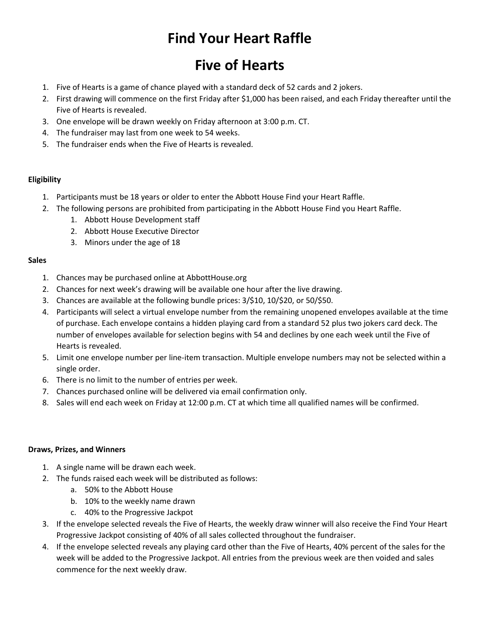# **Find Your Heart Raffle**

# **Five of Hearts**

- 1. Five of Hearts is a game of chance played with a standard deck of 52 cards and 2 jokers.
- 2. First drawing will commence on the first Friday after \$1,000 has been raised, and each Friday thereafter until the Five of Hearts is revealed.
- 3. One envelope will be drawn weekly on Friday afternoon at 3:00 p.m. CT.
- 4. The fundraiser may last from one week to 54 weeks.
- 5. The fundraiser ends when the Five of Hearts is revealed.

### **Eligibility**

- 1. Participants must be 18 years or older to enter the Abbott House Find your Heart Raffle.
- 2. The following persons are prohibited from participating in the Abbott House Find you Heart Raffle.
	- 1. Abbott House Development staff
	- 2. Abbott House Executive Director
	- 3. Minors under the age of 18

### **Sales**

- 1. Chances may be purchased online at AbbottHouse.org
- 2. Chances for next week's drawing will be available one hour after the live drawing.
- 3. Chances are available at the following bundle prices: 3/\$10, 10/\$20, or 50/\$50.
- 4. Participants will select a virtual envelope number from the remaining unopened envelopes available at the time of purchase. Each envelope contains a hidden playing card from a standard 52 plus two jokers card deck. The number of envelopes available for selection begins with 54 and declines by one each week until the Five of Hearts is revealed.
- 5. Limit one envelope number per line-item transaction. Multiple envelope numbers may not be selected within a single order.
- 6. There is no limit to the number of entries per week.
- 7. Chances purchased online will be delivered via email confirmation only.
- 8. Sales will end each week on Friday at 12:00 p.m. CT at which time all qualified names will be confirmed.

### **Draws, Prizes, and Winners**

- 1. A single name will be drawn each week.
- 2. The funds raised each week will be distributed as follows:
	- a. 50% to the Abbott House
	- b. 10% to the weekly name drawn
	- c. 40% to the Progressive Jackpot
- 3. If the envelope selected reveals the Five of Hearts, the weekly draw winner will also receive the Find Your Heart Progressive Jackpot consisting of 40% of all sales collected throughout the fundraiser.
- 4. If the envelope selected reveals any playing card other than the Five of Hearts, 40% percent of the sales for the week will be added to the Progressive Jackpot. All entries from the previous week are then voided and sales commence for the next weekly draw.